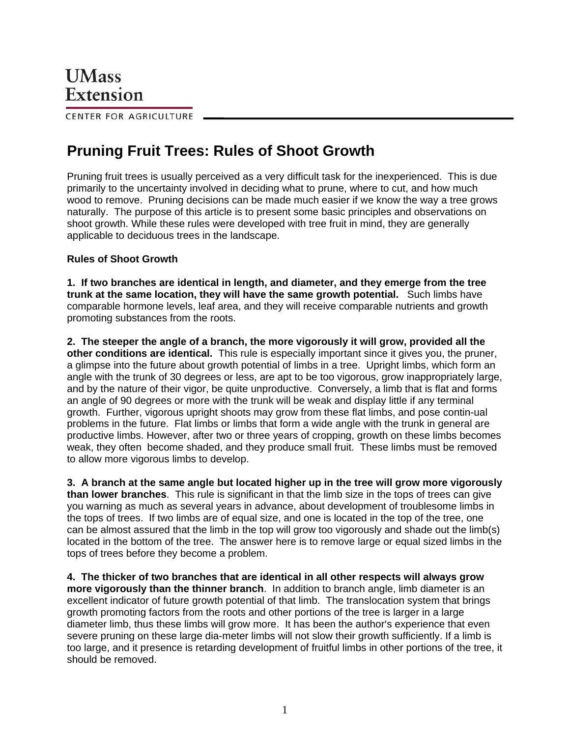CENTER FOR AGRICULTURE

## **Pruning Fruit Trees: Rules of Shoot Growth**

Pruning fruit trees is usually perceived as a very difficult task for the inexperienced. This is due primarily to the uncertainty involved in deciding what to prune, where to cut, and how much wood to remove. Pruning decisions can be made much easier if we know the way a tree grows naturally. The purpose of this article is to present some basic principles and observations on shoot growth. While these rules were developed with tree fruit in mind, they are generally applicable to deciduous trees in the landscape.

## **Rules of Shoot Growth**

**1. If two branches are identical in length, and diameter, and they emerge from the tree trunk at the same location, they will have the same growth potential.** Such limbs have comparable hormone levels, leaf area, and they will receive comparable nutrients and growth promoting substances from the roots.

**2. The steeper the angle of a branch, the more vigorously it will grow, provided all the other conditions are identical.** This rule is especially important since it gives you, the pruner, a glimpse into the future about growth potential of limbs in a tree. Upright limbs, which form an angle with the trunk of 30 degrees or less, are apt to be too vigorous, grow inappropriately large, and by the nature of their vigor, be quite unproductive. Conversely, a limb that is flat and forms an angle of 90 degrees or more with the trunk will be weak and display little if any terminal growth. Further, vigorous upright shoots may grow from these flat limbs, and pose contin-ual problems in the future. Flat limbs or limbs that form a wide angle with the trunk in general are productive limbs. However, after two or three years of cropping, growth on these limbs becomes weak, they often become shaded, and they produce small fruit. These limbs must be removed to allow more vigorous limbs to develop.

**3. A branch at the same angle but located higher up in the tree will grow more vigorously than lower branches**. This rule is significant in that the limb size in the tops of trees can give you warning as much as several years in advance, about development of troublesome limbs in the tops of trees. If two limbs are of equal size, and one is located in the top of the tree, one can be almost assured that the limb in the top will grow too vigorously and shade out the limb(s) located in the bottom of the tree. The answer here is to remove large or equal sized limbs in the tops of trees before they become a problem.

**4. The thicker of two branches that are identical in all other respects will always grow more vigorously than the thinner branch**. In addition to branch angle, limb diameter is an excellent indicator of future growth potential of that limb. The translocation system that brings growth promoting factors from the roots and other portions of the tree is larger in a large diameter limb, thus these limbs will grow more. It has been the author's experience that even severe pruning on these large dia-meter limbs will not slow their growth sufficiently. If a limb is too large, and it presence is retarding development of fruitful limbs in other portions of the tree, it should be removed.